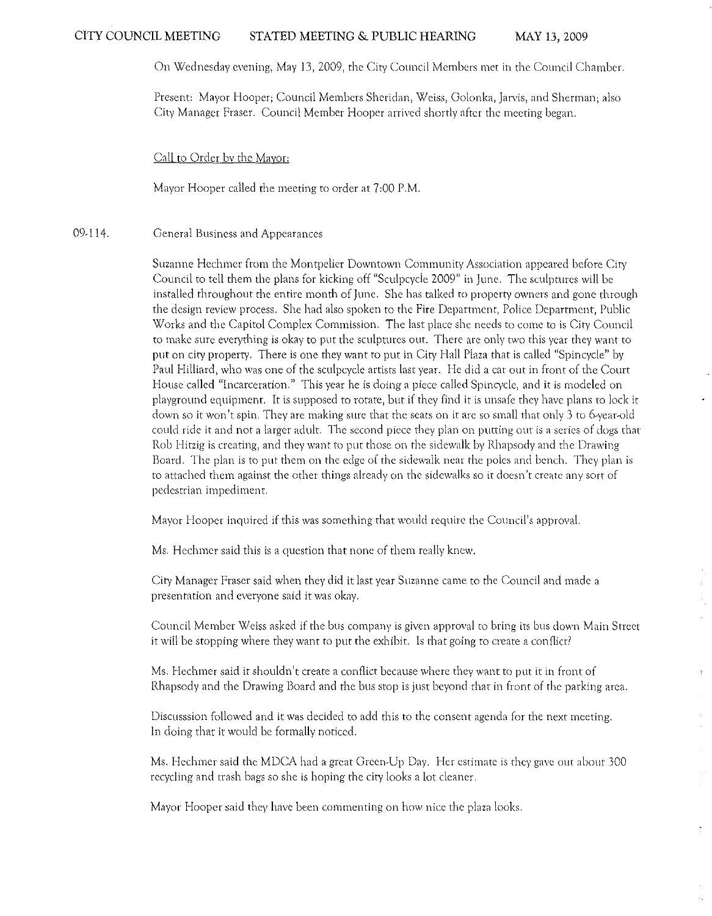On Wednesday evening, May 13,2009, the City Council Members met in the Council Chamber.

Present: Mayor Hooper; Council Members Sheridan, Weiss, Golonka, Jarvis, and Sherman; also City Manager Fraser. Council Member Hooper arrived shortly after the meeting began.

Call to Order by the Mayor:

Mayor Hooper called the meeting to order at 7:00 P.M.

#### 09.114. General Business and Appearances

Suzanne Hcchmcr from the Montpelier Downtown Community Association appeared before City Council to tell them the plans for kicking off "Sculpcycle 2009" in June. The sculptures will be installed throughout the entire month of June. She has talked to property owners and gone through the design review process. She had also spoken to the Fire Department, Police Department, Public Works and the Capitol Complex Commission. The last place she needs to come to is City Council to make sure everything is okay to put the sculptures out. There are only two this year they want to put on city property. There is one they want to put in City Hall Plaza that is called "Spineycle" by Paul Hilliard, who was one of the sculpcycle artists last year. He did a car out in front of the Court House called "Incarceration," This year he is doing a piece called Spincycle, and it is modeled on playground equipment. It is supposed to rotate, but if they find it is unsafe they have plans to lock it down so it won't spin. They are making sure that the seats on it are so small that only 3 to 6-year-old could ride it and not a larger adult. The second piece they plan on putfing our is a series of dogs that Rob Hirzig is creating, and they want fo put those on the sidewalk by Rhapsody and the Drawing Board. The plan is to put them on the edge of the sidewalk near the poles and bench. They plan is to attached them against the other things already on the sidewalks so it doesn't create any sort of pedestrian impediment,

Mayor Hooper inquired if this was something that would require the Council's approval.

Ms. Heehmer said this is a question that none of them really knew.

City Manager Fraser said when they did it last year Suzanne came to the Council and made a presentation and everyone said it was okay.

Council Member Weiss asked if the bus company is given approval to bring its bus down Main Street it will be stopping where they want to put the exhibit. Is that going to create a conflict?

Ms. Hechmer said it shouldn't create a conflict because where they want to put it in front of Rhapsody and the Drawing Board and the bus stop is just beyond that in front of the parking area.

 $\bar{\Sigma}$ 

Discusssion followed and it was decided to add this to the consent agenda for the next meeting. In doing that it would be formally noticed.

Ms. Hechmer said the MDCA had a great Green-Up Day. Her estimate is they gave out about 300 recycling and rrash bags so she is hoping the city looks a lot cleaner.

Mayor Hooper said they have been commenting on how nice the plaza looks.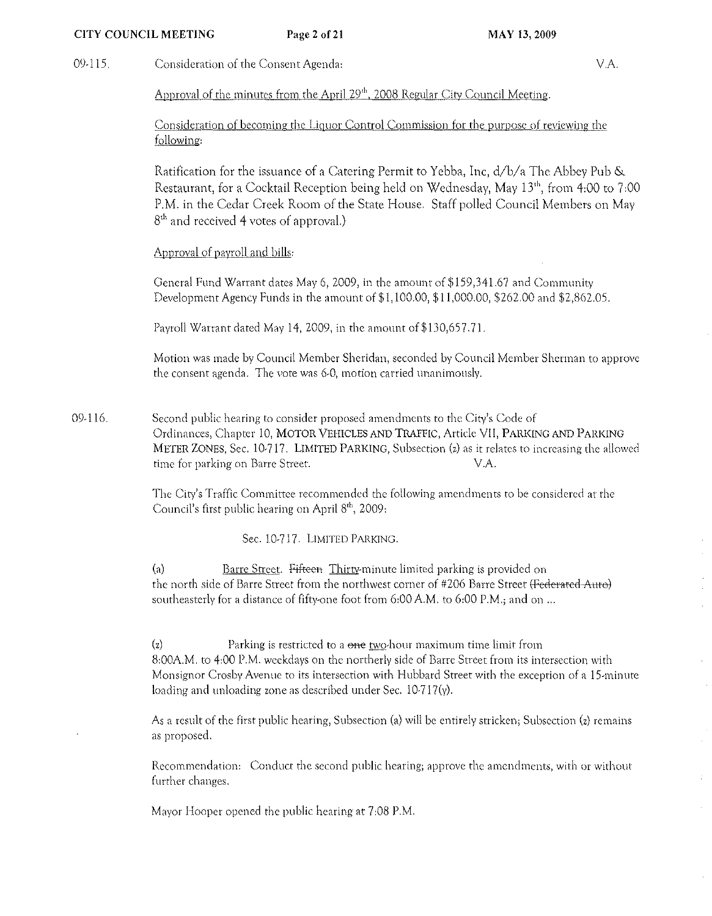## CITY COUNCIL MEETING Page 2 of 21 MAY 13, 2009

09-115. Consideration of the Consent Agenda: VA

Approval of the minutes from the April 29<sup>th</sup>, 2008 Regular City Council Meeting.

Consideration of becoming the Liquor Control Commission for the purpose of reviewing the following:

Ratification for the issuance of a Catering Permit to Yebba, Inc, d/b/a The Abbey Pub & Restaurant, for a Cocktail Reception being held on Wednesday, May 13"', from 4:00 to 7:00 P.M. in the Cedar Creek Room of the State House. Staff polled Council Members on May 8<sup>th</sup> and received 4 votes of approval.)

# Approval of payroll and bills:

General Fund Warrant dates May 6, 2009, in the amount of \$159,34 1.67 and Community Development Agency Funds in the amount of \$1, 100.00, \$11,000.00, \$262.00 and \$2,862.05.

Payroll Warrant dated May 14, 2009, in the amount of \$130,657.71.

Motion was made by Council Member Sheridan, seconded by Council Member Shennan to approve the consent agenda. The vote was 6,0, motion carried unanimously.

09-116. Second public hearing to consider proposed amendments to the City's Code of Ordinances, Chapter 10, MOTOR VEHICLES AND TRAFFlC, Article VII, PARKING AND PARKING METER ZONES, Sec. 10-717. LIMITED PARKING, Subsection (z) as it relates to increasing the allowed time for parking on Barre Street. V.A.

> The City's Traffic Committee recommended the following amendments to be considered at the Council's first public hearing on April  $8<sup>th</sup>$ , 2009:

> > Sec. 10-717. LIMITED PARKING.

(a) Barre Street. Fifteen Thirty-minute limited parking is provided on the north side of Barre Street from the northwest corner of #206 Barre Street (Federated-Auto) southeasterly for a distance of fifty-one foot from 6:00 A.M. to 6:00 P.M.; and on ...

 $\langle z \rangle$  Parking is restricted to a one two-hour maximum time limit from 8:00AM. to 4:00 P.M. weekdays on the northerly side of Barre Street from its intersection with Monsignor Crosby Avenue to its intersection with Hubbard Street with the exception of a 15-minute loading and unloading zone as described under Sec. 10-717(y).

As a result of the first public hearing, Subsection (a) will be entirely stricken; Subsection (z) remains as proposed,

Recommendation: Conduct the second public hearing; approve the amendments, with or without further changes,

Mayor Hooper opened the public hearing at 7:08 P.M.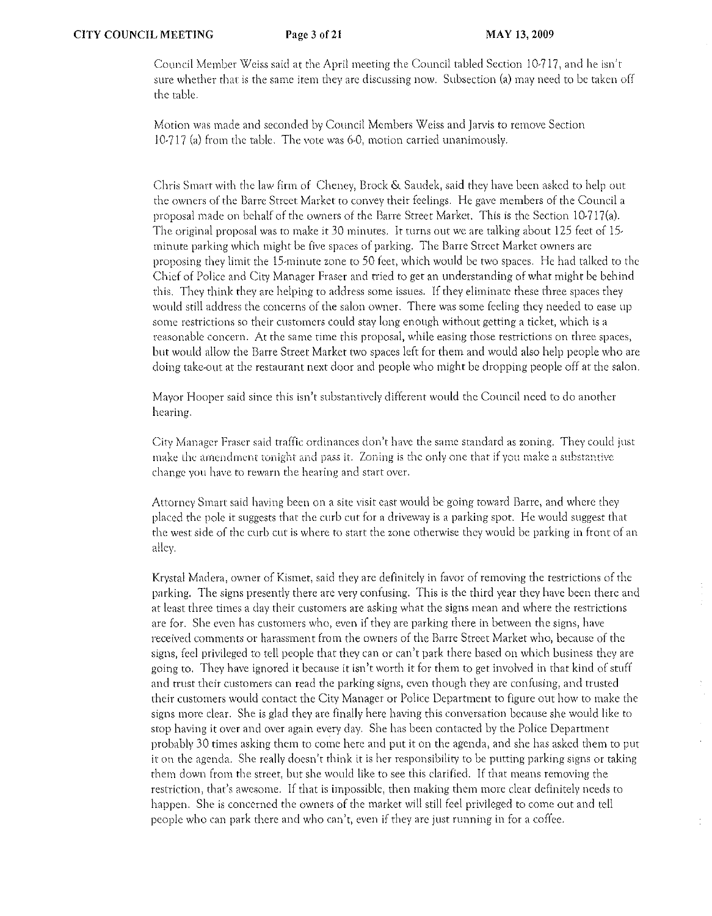Council Member Weiss said at the April meeting the Council tabled Section 10-717, and he isn't sure whether that is the same item they are discussing now. Subsection (a) may need to be taken off the table.

Motion was made and seconded by Council Members Weiss and Jarvis to rernove Section 10-717 (a) from the table. The vote was 6-0, motion carried unanimously.

Chris Smarr with the law firm of Cheney, Brock & Saudek, said they have been asked to help out the owners of the Barre Street Market to convey their feelings. He gave members of the Council a proposal made on behalf of the owners of the Barre Street Market. This is the Section 10-717(a). The original proposal was to make it 30 minutes. It turns out we are talking about 125 feet of 15 minute parking which might be five spaces of parking. The Barre Street Market owners are proposing they limit the 15-minute zone to 50 feet, which would be two spaces. He had talked to the Chief of Police and City Manager Fraser and tried to get an understanding of what might be behind this. They think they arc helping to address some issues. If they eliminate these three spaces they would still address the concerns of the salon owner. There was some feeling they needed to ease up some restrictions so their customers could stay long enough without getting a ticket, which is a reasonable concern. At the same time this proposai, while easing those restrictions on three spaces, but would allow the Barre Street Market two spaces left for them and would also help people who arc doing take-out at the restaurant next door and people who might be dropping people off at the salon.

Mayor Hooper said since this isn't substantively different would the Council need to do another hearing.

City Manager Fraser said traffic ordinances don't have the same standard as zoning. They could just make the amendment tonight and pass it. Zoning is the only one that if you make a substantive change YOll have to rewarn the hearing and srart over.

Attorney Smart said having been on a site visit east would be going toward Barre, and where they placed the pole it suggests that the curb cut for a driveway is a parking spot. He would suggest that the west side of the curb cut is where to start the zone otherwise they would be parking in front of an alley.

Krystal Madera, owner of Kismet, said they arc definitely in favor of removing the restrictions of the parking. The signs presently there are very confusing. This is the thitd year they have been there and at least three times a day their customers are asking what the signs mean and where the restrictions are for. She even has customers who, even if they are parking there in between the signs, have received comments or harassment from the owners of the Barre Street Market who, because of the signs, feel privileged to tell people that they can or can't park there based on which business they are going to. They have ignored it because it isn't worth it for them to get involved in that kind of stuff and trust their customers can read the parking signs, even though they arc confusing, and trusted their Cllstomers would contact the City Manager or Police Department to figure out how to make the signs more clear. She is glad they are finally here having this conversation because she would like to stop having it over and over again every day. She has been contacted by the Police Department probably 30 times asking them to come here and put it on the agenda, and she has asked them to PUt it on the agenda. She really doesn't think it is her responsibility to be putting parking signs or taking them down from the street, bur she would like to see this clarified. If that means removing the restriction, that's awesome. If that is impossible, then making them more clear definitely needs to happen. She is concerned the owners of the market will still feel privileged to come out and tell people who can park there and who can't, even if they are just running in for a coffee.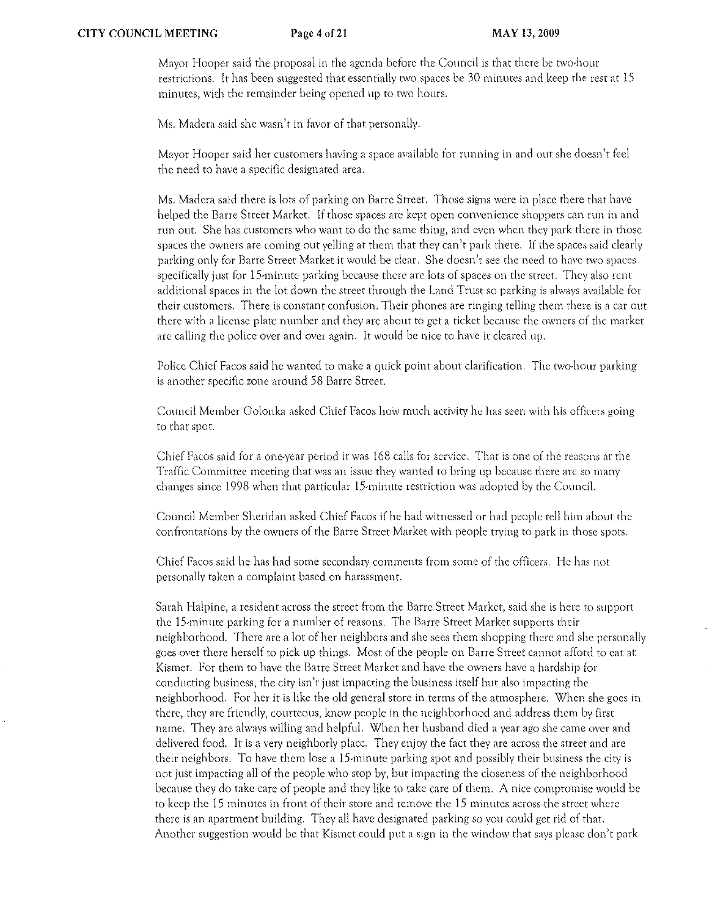Mayor Hooper said the proposal in the agenda before the Council is that there be two-hour restrictions. It has been suggested that essentially two spaces be 30 minutes and keep the rest at 15 minutes, with the remainder being opened up to two hours.

Ms. Madera said she wasn't in favor of that personally.

Mayor Hooper said her customers having a space available for funning in and out she doesn't feel the need to have a specific designated area.

Ms. Madera said there is lots of parking on Barre Street. Those signs wefe in place there that have helped the Barre Street Market. If those spaces arc kept open convenience shoppers can run in and run out. She has customers who want to do the same thing, and even when they park there in those spaces the owners are coming out yelling at them that they can't park there. If the spaces said clearly parking only for Barre Street Market it would be clear. She doesn't see the need to have two spaces specifically just for 15-minute parking because there are lots of spaces on the street. They also rent additional spaces in the lot down the street through the Land Trust so parking is always available for their customers. There is constant confusion. Their phones arc ringing telling them there is a car out there with a license plate number and they arc about to get a ticket because the owners of the market are calling the police over and over again. It would be nice to havc it cleared up.

Police Chief Facos said he wanted to make a quick point about clarification. The two-hour parking is another specific zone around 58 Barre Street.

Council Member Golonka asked Chicf Facos how much activity he has seen with his officers going to that spot.

Chief Facos said for a one-year period it was 168 calls for service. That is one of the reasons at the Traffic Committee meeting that was an issue they wanted to bring up because there are so many changes since 1998 when that particular IS-minute restriction was adopfed by the Council.

Council Member Sheridan asked Chief Facos if he had witnessed or had people tell him about rhe confrontations by the owners of the Barre Street Market with people trying to park in those spots.

Chief Facos said he has had some secondary comments from some of the officers. He has not personally taken a complaint based on harassment.

Sarah Halpine, a resident across the street from the Barre Street Market, said she is here to support the IS,minute parking for a number of reasons, The Barre Street Market supports their neighborhood, There are a lot of her neighbors and she sees them shopping there and she personally goes over there herself to pick up things. Most of the people on Barre Street Cannot afford to eat at Kismet. For them to have the Barre Street Market and have the owners have a hardship for conducting business, the city isn't just impacting the business itself but also impacting the neighborhood. For her it is like the old general store in terms of the atmosphere, When she goes in there, they are friendly, courteous, know people in the neighborhood and address them by first name, They are always Willing and helpful. When her husband died a year ago she came over and delivered food, It is a very neighborly place, They enjoy the fact they are across the street and are their neighbors. To have them lose a 1S-minute parking spot and possibly thcir business the city is not just impacting all of the people who stop by, but impacting the closeness of the neighborhood because they do take care of people and they like to take care of them. A nice compromise would be to keep fhe 15 minutes in front of their storc and remove the 15 minutes across the street where there is an apartment building. They all have designated parking so you could get rid of that. Another suggestion would be that Kismet could put a sign in the window that says please don't park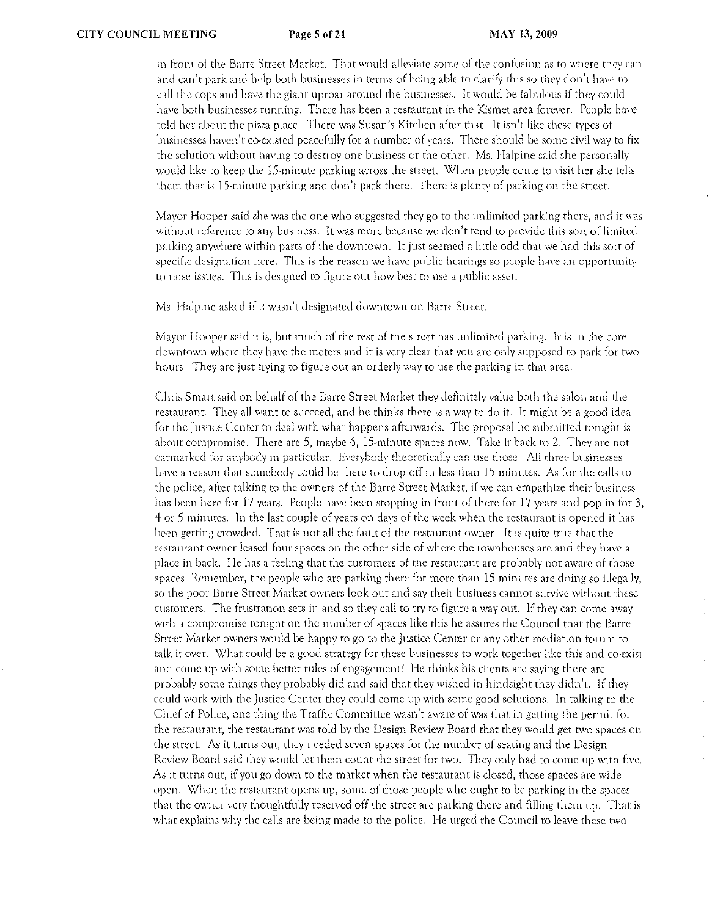in front of the Barre Street Market. That would alleviate some of the confusion as to where they can and can't park and help both businesses in terms of being able to clarify this so they don't have to call the cops and have the giant uproar around the businesses. It would be fabulous if they could have both businesses running. There has been a restaurant in the Kismet area forever. People have told her about the pizza place. There was Susan's Kitchen after that. It isn't like these types of businesses haven't co-existed peacefully for a number of years. There should be some civil way to fix the solution without having to destroy one business or the other. Ms. Halpine said she personally would like to keep the IS-minute parking across the street. When people come to visit her she tells them that is 1 S-minute parking and don't park there. There is plenty of parking on the street.

Mayor Hooper said she was the one who suggested they go to the unlimited parking there, and it was without reference to any business. It was more because we don't tend to provide this sort of limited parking anywhere within parts of the downtown. It just seemed a little odd that we had this sort of specific designation here. This is the reason we have public hearings so people have an opportunity to raise issues. This is designed to figure out how best to use a public asset.

Ms. Halpine asked if it wasn't designated downtown on Barre Street.

Mayor Hooper said it is, but much of the rest of the street has unlimited parking. It is in the core downtown where they have the meters and it is very clear that you are only supposed to park for two hours. They are just trying to figure out an orderly way to use the parking in that area.

Chris Smart said on behalf of the Barre Street Market they definitely value both the salon and the restaurant. They all want to succeed, and he thinks there is a way to do it. It might be a good idea for the Justice Center to deal with what happens afterwards. The proposal he submitted tonight is about compromise. There are 5, maybe 6, 15-minute spaces now. Take it back to 2. They are not earmarked for anybody in particular. Everybody theoretically can use those. All three businesses have a reason rhat somebody could be there to drop off in less than 15 minutes. As for the calls to the police, after ralking to the owners of the Barre Street Market, if we can empathize their business has been here for 17 years. People have been stopping in front of there for 17 years and pop in for 3, 4 or .5 minutes, In the last couple of years on days of the week when the restaurant is opened it has been getting crowded. That is not all the fault of the restaurant owner. It is quite true that the restaurant owner leased four spaces on the other side of where the townhouses are and they have a place in back. He has a feeling that the customers of the restaurant are probably not aware of those spaces. Remember, the people who are parking there for more than 15 minutes are doing so illegally, so the poor Barre Street Market owners look out and say their business cannot survive without these custorners. The frustration sets in and so they call to try to figure a way out. If they can come away with a compromise tonight on the number of spaces like this he assures the Council that the Barre Street Market owners would be happy to go to the Justice Center or any other mediation forum to talk it over. What could be a good strategy for these businesses to work together like this and co-exist" and come up with some better rules of engagement? He thinks his clients are saying there are probably some things they probably did and said that they wished in hindsight they didn't. If they could work with the Justice Center they could come up with some good solutions. In talking to the Chief of Police, one thing the Traffic Committee wasn't aware of was that in getting the permit for the restaurant", the restaurant was told by the Design Review Board that they would get two spaces on the street. As it turns out, they needed seven spaces for the number of seating and the Design Review Board said they would let them count the street for two. They only had to come up with five. As it turns out, if you go down to the market when the restaurant is closed, those spaces are wide open. When the restaurant opens up, some of those people who ought to be parking in the spaces that the owner very thoughtfully reserved off the street are parking there and filling them up. That is what explains why the calls are being made to the police. He urged the Council to leave these two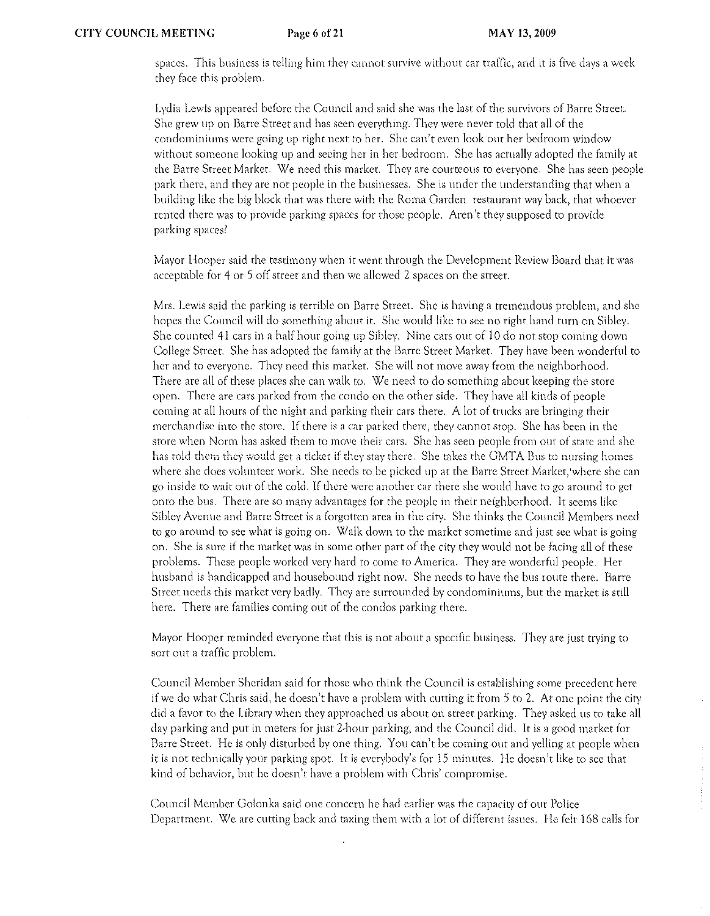spaces. This business is telling him they cannot survive without car traffic, and it is five days a week they face this problem.

Lydia Lewis appeared before the Council and said she was the last of the survivors of Barre Street. She grew up on Barre Street and has seen everything. They were never told that all of the condominiums were going up right next to her. She can't even look out her bedroom window without someone looking up and seeing her in her bedroom. She has actually adopted the family at the Barre Street Market. We need this market. They are courteous to everyone. She has seen people park there, and they arc not people in the businesses. She is under the understanding that when a building like the big block that was there with the Roma Garden restaurant way back, that whoever rented there was to provide parking spaces for fhose people. Aren't they supposed to provide parking spaces?

Mayor Hooper said the testimony when it went through the Development Review Board that it was acceptable for 4 Ot 5 off street and then we allowed 2 spaces on the street.

Mrs. Lewis said the parking is terrible on Barre Street. She is having a tremendous problem, and she hopes the Council will do something about it. She would like to see no tight hand turn on Sibley. She counted 41 cars in a half hour going up Sibley. Nine cars our of 10 do not stop coming down College Street. She has adopted the family at the Barre Street Market. They have been wonderful to her and to everyone. They need this market. She will not move away from the neighborhood. There are all of these places she can walk to. We need to do something about keeping the store open. There ate cars parked from the condo on the other side. They have all kinds of people coming at all hours of the night and parking their cars there. A lot of trucks arc bringing their merchandise into the store. If there is a car parked there, they cannot stop. She has been in the store when Norm has asked them to move their cars. She has seen people from out of state and she has told them they would get a ticket if they stay there. She takes the GMTA Bus to nursing homes where she does volunteer work. She needs to be picked up at the Barre Street Market, where she can go inside to wait out of the cold. If there \vere another car there she would have to go around to get onto the bus. There are so many advantages for the people in their neighborhood. It seems like Sibley Avenue and Barre Street is a forgotten area in the city. She thinks the Council Members need to go around to see what is going on. Walk down to the market sometime and just see what is going on. She is sure if the market was in some other part of the city they would not be facing all of these problems. These people worked very hard to come to America. They ate wonderful people. Her husband is handicapped and housebound right now. She needs to have the bus route there. Barre Street needs this market very badly. They are surrounded by condominiums, but the market is still here. There are families coming out of the condos parking there,

Mayor Hooper reminded everyone that this is not about a specific business. They are just trying to sort out a traffic problem.

Council Member Sheridan said for those who think the Council is establishing some precedent hete if we do what Chris said, he doesn't have a problem with cutting it from 5 to 2. At one point the city did a favor to the Library when they approached us about on street parking. They asked us to take all day parking and put in meters fot just 2-hour patking, and the Council did. It is a good matket for Barre Street. He is only disturbed by one thing. You can't be coming out and yelling at people when it is not technically your parking spot. It is everybody's for 15 minutes. He doesn't like to see that kind of behavior, but he doesn't have a problem with Chris' compromise.

Council Member Golonka said one concern he had earlier was the capacity of our Police Department. We are cutting back and taxing them with a lot of different issues. He felt 168 calls for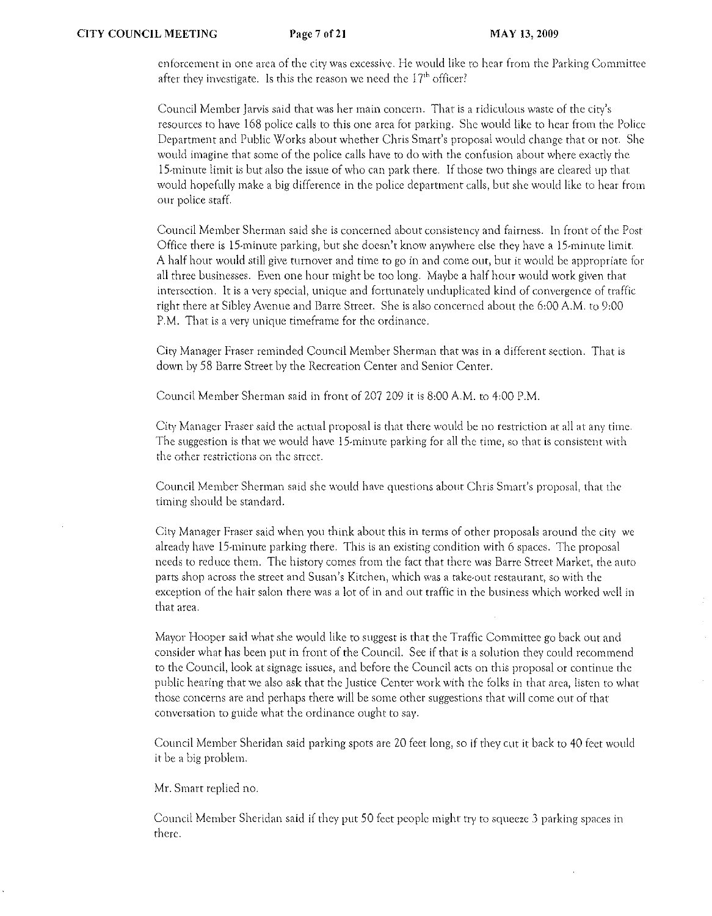enforcement in one area of the city was excessive. He would like to hear from the Parking Committee after they investigate. Is this the reason we need the  $17<sup>th</sup>$  officer?

Council Member Jarvis said that was her main concern. That is a ridiculous waste of the city's resources to have 168 police calls to this one area for parking. She would like to hear from the Police Department and Public Works about whether Chris Smart's proposal would change that or not. She would imagine that some of the police calls have to do with the confusion about where exactly the 15·minute limit is but also the issue of who can park there. If those two things are cleared up that would hopefully make a big difference in the police department calls, but she would like to hear from OUr police staff.

Council Member Sherman said she is concerned about consistency and fairness. In front of the Post Office there is 15-minute parking, but she doesn't know anywhere else they have a 15-minute limit. A half hour would still give turnover and time to go in and come out, but it would be appropriate for all three businesses. Even one hour might be too long. Maybe a half hour would work given that intersection. It is a very special) unique and fortunately unduplicated kind of convergence of traffic right there at Sibley Avenue and Barre Street. She is also concerned about the 6:00 A.M. to 9:00 P.M. That is a very unique timeframe for the ordinance.

City Manager Fraser reminded Council Member Sherman that was in a different section. That is down by 58 Barre Street by the Recreation Center and Senior Center.

Council Member Sherman said in front of 207 209 it is 8:00 A.M. to 4:00 P.M.

City Manager Fraser said the actual proposal is that there would be no restriction at all at any time. The suggestion is that we would have 15-minute parking for all the time, so that is consistent with the other restrictions on the street.

Council Member Sherman said she would have questions about Chris Smart's proposal, that the timing should be standard.

City Manager Fraser said when you think about this in terms of other proposals around the city we already have 15-minute parking there. This is an existing condition with 6 spaces. The proposal needs to reduce them. The history comes from the fact that there was Barre Street Market, the auto parts shop across the street and Susan's Kitchen, which was a take-out restaurant, so with the exception of the hair salon there was a lot of in and out traffic in the business which worked well in that area.

Mayor Hooper said what she would like to suggest is that the Traffic Committee go back out and consider what has been put in front of the Council. See if that is a solution they could recommend to the Council) look at signage isslles, and before the Council acts on this proposal or continue the public hearing that we also ask that the Justice Center work with the folks in that area, listen to what those concerns are and perhaps there will be some other suggestions that will come out of that conversation to guide what the ordinance ought to say.

Council Member Shet'idan said parking spots arc 20 feet long, so if they cut it back to 40 feet would it be a big problem.

Mr. Smart replied no.

Council Member Sheridan said if they put 50 feet people might try to squeeze 3 parking spaces in there.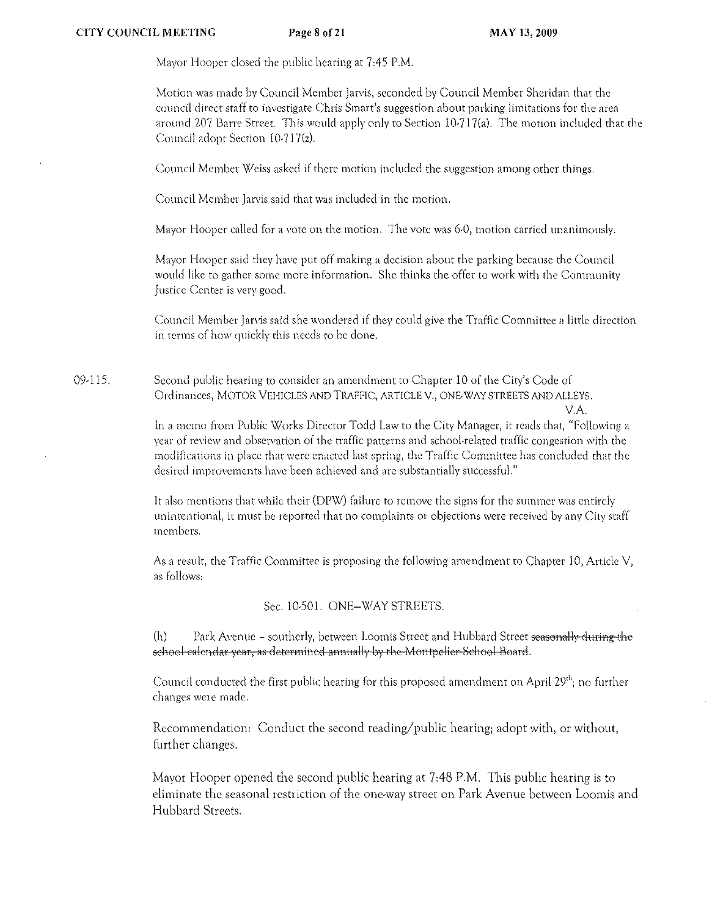Mayor Hooper closed d)e public hearing at 7 *A5* P.M.

Motion was made by Council Member Jarvis, seconded by Council Member Sheridan that the council direct staff to investigate Chris Smart's suggestion about parking limitations for the area around 207 Barre Street. This would apply only to Section 10·717(a). The motion included that the Council adopt Section 1O·717(z).

Council Member Weiss asked if there motion included the suggestion among other things.

Council Member Jarvis said that was included in the motion.

Mayor Hooper called for a vote on the motion. The vote was 6-0, motion carried unanimously.

Mayor Hooper said they have put off making a decision about the parking because the Council would like to gather some more information, She thinks the offer to work with the Comrnunity Justice Center is very good.

Council Member Jarvis said she wondered if they could give the Traffic Committee a little direction in terms of how quickly this needs to be done.

09·115. Second public hearing to consider an amendmenr to Chapter 10 of the City's Code of Ordinances, MOTOR VEHICLES AND TRAFFIC, ARTICLE V., ONE·WAY STREETS AND ALLEYS. VA

> In a memo from Public Works Director Todd Law to the City Manager, it reads that, "Following a year of review and observation of the traffic patterns and school-related traffic congestion with the modifications in place that were enacted last spring, the Traffic Committee has concluded that the desired improvements have been achieved and are substantially successful."

> It also mentions that while their (DPW) failure to remove the signs for the slimmer was entirely unintentional) it must be reported that no complaints 01' objections were received by any City staff members.

> As a result, the Traffic Committee is proposing the following amendment to Chapter 10, Article V, as follows:

> > Sec. 10-501. ONE-WAY STREETS.

(h) Park Avenue - southerly, between Loomis Street and Hubbard Street seasonally during the school-calendar year, as determined annually by the Montpelier School-Board.

Council conducted the first public hearing for this proposed amendment on April 29<sup>th</sup>; no further changes were made.

Recommendation: Conduct the second reading/public hearing; adopt with, or without, further changes.

Mayor Hooper opened the second public hearing at 7:48 P.M. This public hearing is to eliminate the seasonal restriction of the one·way street on Park Avenue between Loomis and Hubbard Streets.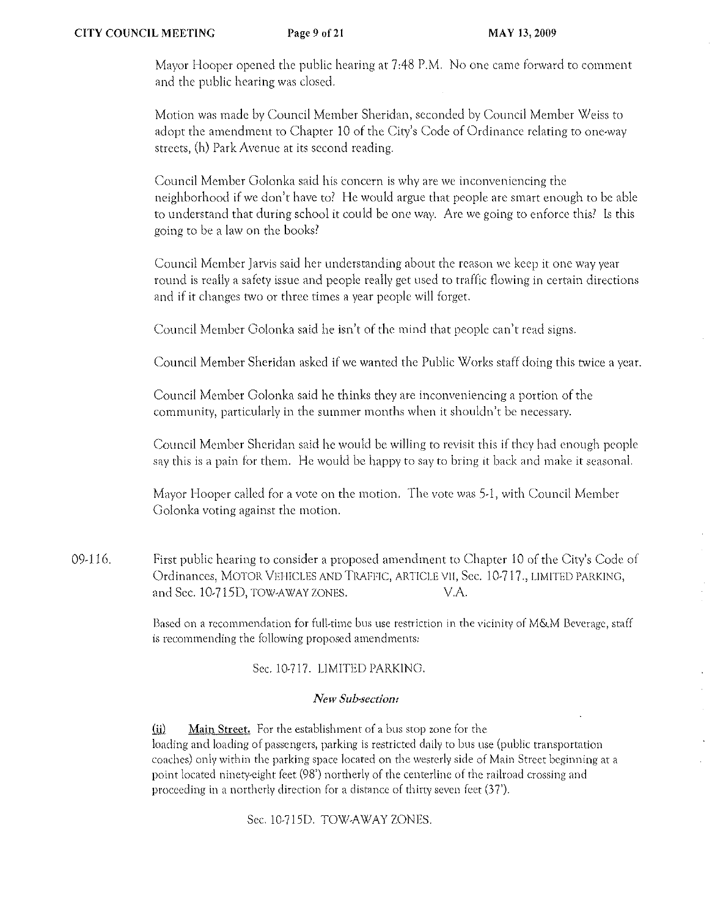Mayor Hooper opened the public hearing at 7:48 P.M. No one came forward to comment and the public hearing was closed.

Motion was made by Council Member Sheridan, seconded by Council Member Weiss to adopt the amendment to Chapter 10 of the City's Code of Ordinance relating to one-way streets, (h) Park Avenue at its second reading.

Council Member Golonka said his concern is why arc we inconveniencing the neighborhood if we don't have to? He would argue that people are smart enough to be able to understand that during school it could be one way. Are we going to enforce this) Is this going to be a law on the books)

Council Member Jarvis said her understanding about the reason we keep it one way year round is really a safety issue and people really get used to traffic flowing in certain directions and if it changes two or three times a year people will forget.

Council Member Golonka said he isn't of the mind that people can't read signs.

Council Member Sheridan asked if we wanted the Public Works staff doing this twice a year.

Council Member Golonka said he thinks they arc inconveniencing a portion of the community, particularly in the summer months when it shouldn't be necessary.

Council Member Sheridan said he would be willing to revisit this if they had enough people say this is a pain for them. He would be happy to say to bring it back and make it seasonal.

Mayor Hooper called for a vote on the motion. The vote was 5-1, with Council Member Golonka voting against the motion.

09-116. First public hearing to consider a proposed amendment to Chapter 10 of the City's Code of Ordinances, MOTOR VElilCLES AND TRAFFIC, ARTICLE VII, Sec. 10-717., LIMITED PARKINC, and Sec. 10-715D, TOW-AWAY ZONES. V.A.

> Based on a recommendation for full-time bus use restriction in the vicinity of M&M Beverage, staff is recommending the following proposed amendments:

## Sec. 10-717. LIMITED PARKING.

### *New Sub-section:*

(ii) Main Street. For the establishment of a bus stop zone for the loading and loading of passengers, parking is restricted daily to bus usc (public transportation **coaches) only within the parking space located on the westerly side of Main Street beginning at** a point located ninety-cighl feet (98') northerly of the centerline of rhc railroad crossing and **proceeding in a northerly direction for a distance of thirty seven feet (37').** 

Sec. IO-715D. TOW-AWAY ZONES.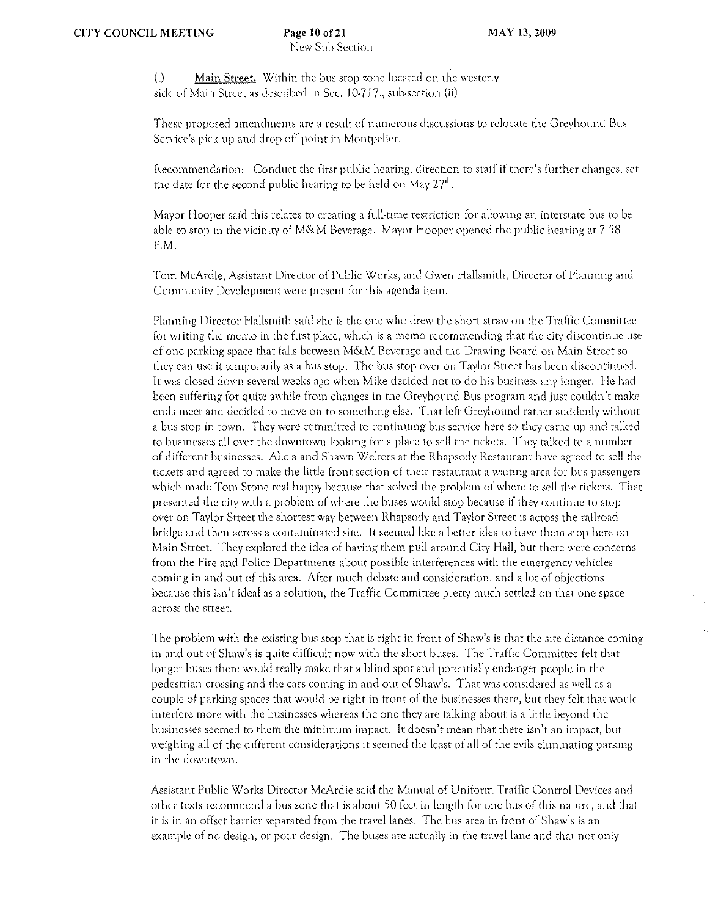$(i)$  Main Street. Within the bus stop zone located on the westerly side of Main Street as described in Sec. 10·717., sub·section (ii).

These proposed amendments are a result of numerous discussions to relocate the Greyhound Bus Service's pick up and drop off point in Montpelier.

Recommendation: Conduct the first public hearing; direction to staff if there's further changes; set the date for the second public hearing to be held on May 27"'.

Mayor Hooper said this relates to creating a full-time restriction for allowing an interstate bus to be able to stop in the vicinity of M&M Beverage. Mayor Hooper opened the public hearing at 7.58 P.M.

Tom McArdle, Assistant Director of Public Works, and Gwen Hallsmith, Director of Planning and Community Development were present for this agenda item.

Planning Director Hallsmith said she is the one who drew the short straw on the Traffic Committee for writing the memo in the first place, which is a memo recommending that the city discontinue use of one parking space that falls between M&M Beverage and the Drawing Board on Main Street so they can use it temporarily as a bus stop. The bus stop over on Taylor Street has been discontinued. It was closed dmvn several weeks ago when Mike decided not to do his business any longer. He had been suffering for quite awhile from changes in the Greyhound Bus program and just couldn't make ends meet and decided to move on to something else. That left Greyhound rather suddenly without a bus stop in town. They were committed to continuing bus service here so they came up and talked to businesses all over the downtown looking for a place to sell the tickets. They talked to a number of different businesses. Alicia and Shawn Welters at the Rhapsody Restaurant have agreed to sell the tickets and agreed to make the little front section of their restaurant a waiting area for bus passengers which made Tom Stone real happy because that solved the problem of where to sell the tickers. That presented the city with a problem of where the buses would stop because if they continue to stop over on Taylor Street the shortest way between Rhapsody and Taylor Street is across the railroad bridge and then across a contaminated *site.* It seerned like a better idea to have them stop here on Main Street. They explored the idea of having them pull around City Hall, but there were concerns from the Fire and Police Departments about possible interferences with the emergency vehicles coming in and out of this area. After much debate and consideration, and a lot of objections because this isn't ideal as a solution, the Traffic Committee pretty much settled on that one space across the street.

The problem with the existing bus stop that is right in front of Shaw's is that the site distance coming in and out of Shaw's is quite difficult now with the short buses. The Traffic Committee felt that longer buses there would really make that a blind spot and potentially endanger people in the pedestrian crossing and the cars coming in and out of Shaw's. That was considered as well as a couple of parking spaces that would be right in front of the businesses there, but they fclt that would interfere more with the businesses whereas the one they are talking about is a little beyond the businesses seemed to them the minimum impact. It doesn't mean that there isn't an irnpact, but weighing all of the different considerations it seemed the least of all of the evils eliminating parking in the downtown.

Assistant Public Works Director McArdle said the Manual of Uniform Traffic Control Devices and othcr texts recommend a bus zone that is about 50 feet in length for one bus of this naturc, and that it is in an offset barrier separated from the travel lanes. The bus area in front of Shaw's is an example of no design, or poor design. The buses are actually in the travel lane and that not only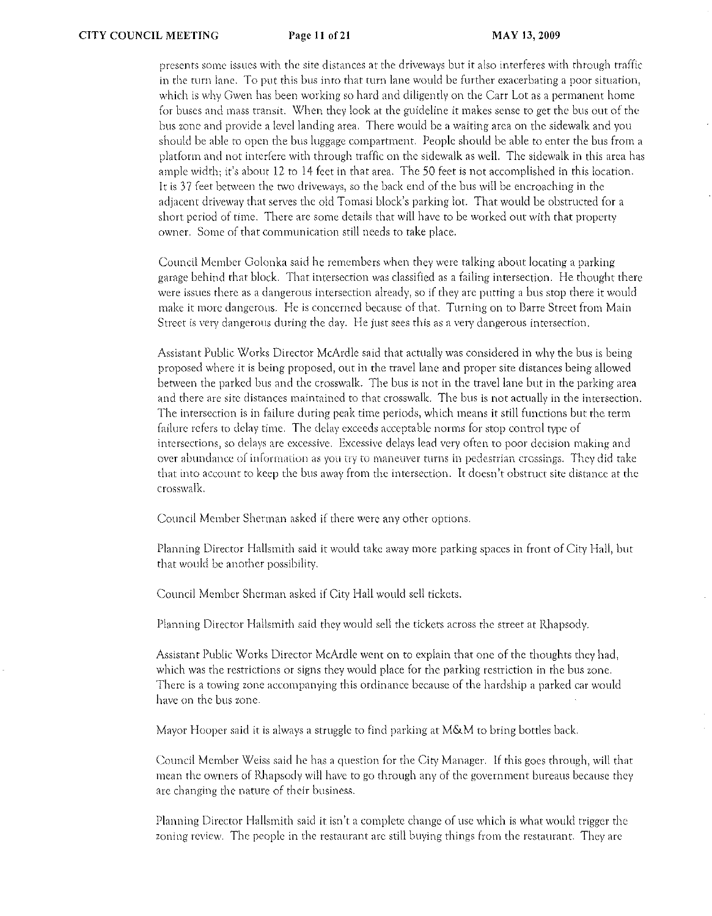presents some issues with the site distances at the driveways but it also interferes with through traffic in the turn lane. To put this bus inro that turn lane would be further exacerbating a poor situation, which is why Gwen has been working so hard and diligently on the Carr Lot as a permanent home for buses and mass transit. When they look at the guideline it makes sense to get the bus out of the bus zone and provide a level landing area. There would he a waiting area on the sidewalk and you should be able to open the bus luggage compartment. People should be able to enter the bus from a platform and not interfere with through traffic on the sidewalk as well. The sidewalk in this area has ample width; it's abour 12 to 14 feet in that area. The 50 feet is not accomplished in this location. It is 37 feet between the two driveways, so the back end of the bus will be encroaching in the adjacent driveway that serves the old Tomasi block's parking lot. That would be obstructed for a short period of time. There are Some details that will have to be worked out with that property owner. Some of that communication still needs to take place.

Council Member Golonka said he remembers when they were talking about locating a parking garage behind that block. That intersection was classified as a failing intersection. He thought there were issues there as a dangerous intersection already, so if they are putting a bus stop there it would make it more dangerous. He is concerned because of that. Turning on to Barre Street from Main Street is very dangerous during the day. He just sees this as a very dangerous intersection.

Assistant Public Works Director McArdle said that actually was considered in why the bus is being proposed where it is being proposed, out in the travel lane and proper site distances being allowed between the parked bus and the crosswalk. The bus is not in the travel lane but in the parking area and there are site distances maintained to that crosswalk. The bus is not actually in the intersection. The intersection is in failure during peak time periods) which means it still functions but the term failure refers to delay time. The delay exceeds acceptable norms for stop control type of intersections, so delays are excessive. Excessive delays lead very often to poor decision making and over abundance of information as you try to maneuver turns in pedestrian crossings. They did take that into account to keep the bus away from the intersection. It doesn't obstruct site distance at the crosswalk.

Council Member Sherman asked if there were any other options.

Planning Director Hallsmith said it would take away more parking spaces in front of City Hall, but that would be another possibility.

Council Member Sherman asked if City Hall would sell tickets.

Planning Director Hallsmith said they would sell the tickets across the street at Rhapsody.

Assistant Public Works Director McArdle went on to explain that one of the thoughts they had, which was the restrictions or signs they would place for the parking restriction in the bus zone. There is a towing zone accompanying this ordinance because of the hardship a parked car would have on the bus zone.

Mayor Hooper said it is always a struggle to find parking at M&M to bring bottles back.

Council Member \Xleiss said he has a question for the City Manager. if this goes through, will that mean the owners of Rhapsody will have to go through any of the government bureaus becausc they are changing the nature of their business.

Planning Director Hallsmith said it isn't a complete change of use which is what would trigger the zoning review. The people in the restaurant arc still buying rhings from the restaurant. They arc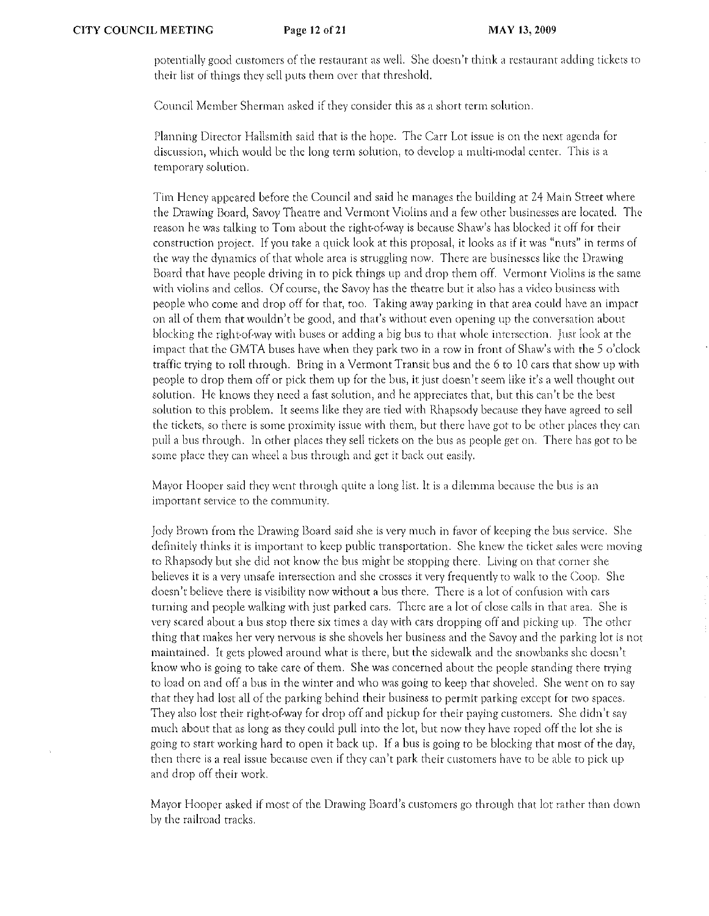potentially good customers of the restaurant as well. She doesn't think a restaurant adding tickets to their list of things they sell puts them over that threshold.

Council Member Sherman asked if they consider this as a short term solution.

Planning Director Hallsmith said that is the hope. The Carr Lot issue is on the next agenda for discussion, which would be the long term solution, to develop a multi-modal center. This is a temporary solution.

Tim Heney appeated befote the Council and said he manages the building at 24 Main Street whete the Drawing Board, Savoy Theatre and Vermont Violins and a few other businesses arc located. The reason he was talking to Tom about the right-of-way is because Shaw's has blocked it off for their construction project. If you take a quick look at this proposal, it looks as if it was "nuts" in terms of the way the dynamics of that whole area is struggling now. There are businesses like the Drawing Board that have people driving in to pick things up and drop them off. Vermont Violins is the same with violins and cellos. Of course, the Savoy has the theatre but it also has a video business with people who come and drop off for that, too. Taking away parking in that area could have an impact on all of them that wouldn't be good, and that's without even opening up the conversation about blocking the right-of-way with buses or adding a big bus to that whole intersection. Just look at the impact that the GMTA buses have when they patk two in a row in front of Shaw's with the 5 o'clock traffic ttying to roll through. Bring in a Vermont Ttansit bus and the 6 to 10 cars that show up with people to drop them off or pick them up for the bus, it just doesn't seem like it's a well thoughr out solution. He knows they need a fast solution, and he appreciates that, but this can't be the best solution to this problem. It seems like they are tied with Rhapsody because they have agreed to sell the tickets, so there is some proximity issue with them, but there have got to be other places they can pull a bus through. In other places they sell tickets on the bus as people get on. There has got to be some place they can wheel a bus through and get it back out easily.

Mayor Hooper said they went through quite a long list. It is a dilemma because the bus is an important service to the community.

Jody Brown from the Drawing Board said she is very much in favor of keeping the bus service. She definitely thinks it is important to keep public transportation. She knew the ticket sales were moving to Rhapsody but she did not know the bus might be stopping there. Living on that corner she believes it is a very unsafe intersection and she crosses it very frequently to walk to the Coop. She doesn't bclieve there is visibility now without a bus there. There is a lot of confusion wirh cars turning and people walking with just parked cars. There arc a lot of close calls in that area. She is very scared about a bus stop there six times a day with cars dropping off and picking up. The other thing that makes her very nervous is she shovels her business and the Savoy and the parking lot is not maintained. It gets plowed around what is there, but the sidewalk and the snowbanks she doesn't know who is going to take carc of them. She was concerned about the people standing there trying to load on and off a bus in the winter and who was going to keep that shoveled. She went on to say that they had lost all of the parking behind their business to permit patking excepr for two spaces. They also lost their right-of-way for drop off and pickup for their paying customers. She didn't say much about that as long as they could pull into the lot, but now they have roped off the lot she is going to start working hard to open it back up. If a bus is going to be blocking that most of the day, then there is a real issue because even if they can't park their customers have to be able to pick up and drop off their work.

Mayor Hooper asked if most of the Drawing Board's customers go through that lot rather than down by the railroad tracks.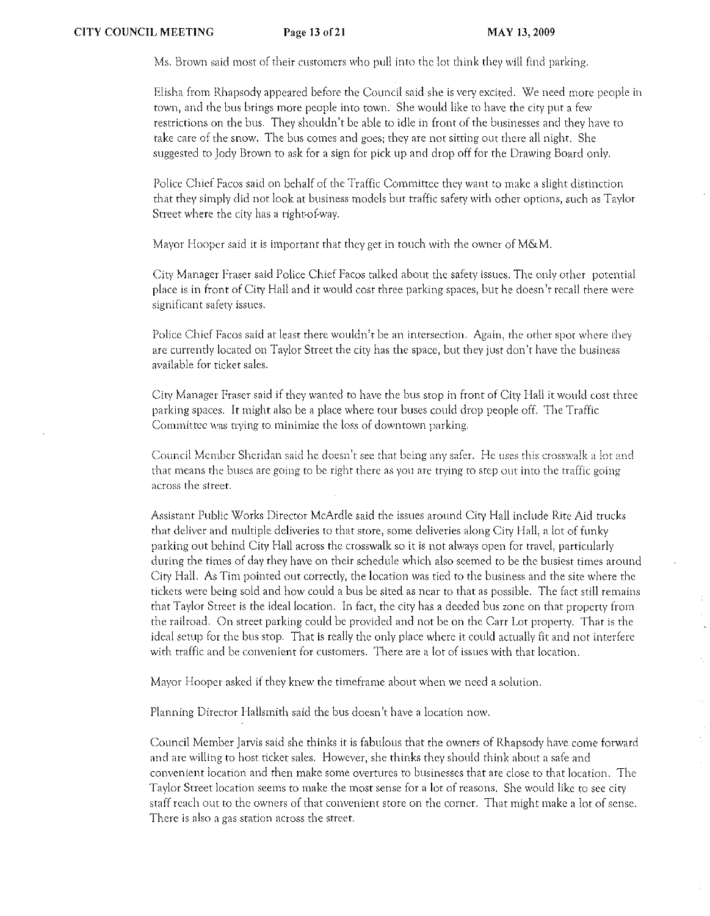Ms. Brown said most of their customers who pull into the lot think they will find parking.

Elisha from Rhapsody appeared before the Council said she is very excited. We need more people in town, and the bus brings more people into town. She would like to have the city put a few restrictions on the bus. They shouldn't be able to idle in front of the businesses and they have to take care of the snow. The bus comes and goes; they are not sitting OUt there all night. She suggested to lady Brown to ask for a sign for pick up and drop off for the Drawing Board only.

Police Chief Facos said on behalf of the Traffic Committee they want to make a slight distinction that they simply did not look at business models but traffic safety with other options, such as Taylor Street where the city has a right-of-way.

Mayor Hooper said it is important that they get in touch with the owner of M&M.

City Manager Fraser said Police Chief Facos talked about the safety issues. The only other potential place is in front of City Hall and it would cost three parking spaces, but he doesn't recall there were significant safety issues.

Police Chief Facos said at least there wouldn't be an intersection. Again, the other spot where they are currently located on Taylor Street the city has the space, but they just don't have the business available for ticket sales.

City Manager Fraser said if they wanted to have the bus stop in front of City Hall it would cost three parking spaces. It might also be a place where tour buses could drop people off. The Traffic Committee was trying to minimize the loss of downtown parking.

Council Member Sheridan said he doesn't see that being any safer. He uses this crosswalk a lot and that means the buses arc going to be right there as you arc trying to step out into the traffic going across the street.

Assistant Public Works Director McArdle said the issues around City Hall include Rite Aid trucks that deliver and multiple deliveries to that store, some deliveries along City Hall, a lot of funky parking out behind City Hall across the crosswalk so it is not always open for travel) particularly during the times of day they have on their schedule which also seemed to be the busiest times around City Hall. As Tim pointed out correctly) the location was ticd to the business and the site where the tickets were being sold and how could a bus be sited as ncar to that as possible. The fact still remains that Taylor Street is the ideal location. In fact, the city has a deeded bus zone on that property from the railroad. On street parking could be provided and not be on the Carr Lot property. That is the ideal setup for the bus stop. That is really the only place where it could actually fit and not interfere with traffic and be convenient for customers. There are a lot of issues with that location.

Mayor Hooper asked if they knew the timeframe about when we need a solution.

Planning Director Hallsmith said the bus doesn't have a location now.

Council Member Jarvis said she thinks it is fabulous that the owners of Rhapsody have come forward and arc willing to host ticket sales. However, she thinks they should think abour a safe and convenient location and then make some overtures to businesses that are close to that location. The Taylor Street location seems to make the most sense for a lot of reasons. She would like to see city staff reach OUt to the owners of that convenient store on the corner. That might make a lot of sense. There is also a gas station across the street.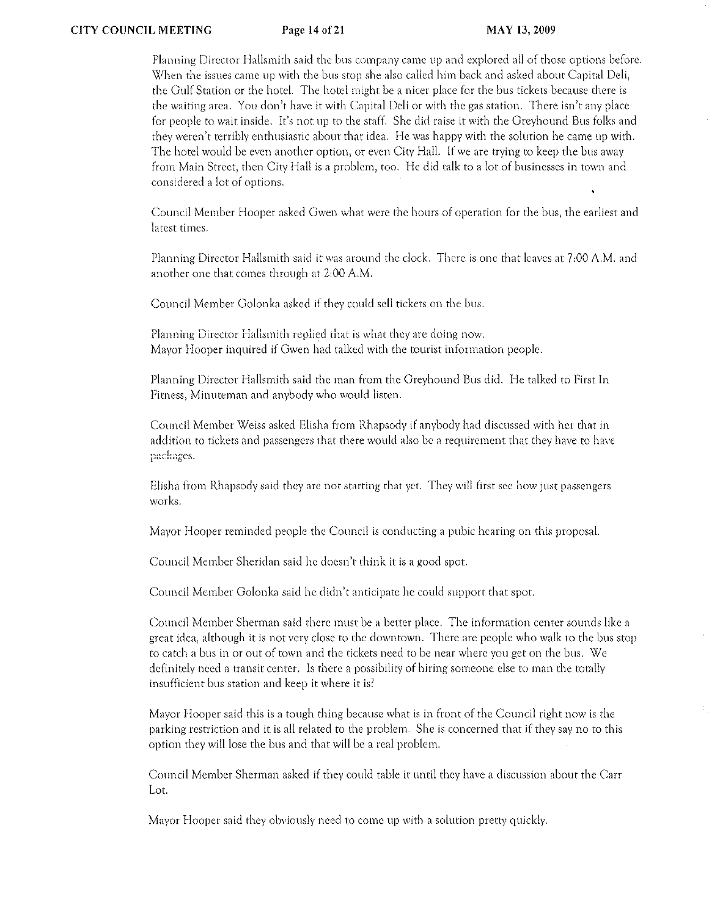Planning Director Hallsmith said the bus company came up and explored all of those options before. \X/hen the issues came up with the bus stop she also called him back and asked about Capital Deli, the Oulf Station or the hotel. The hotel might be a nicer place for the bus tickets because there is the waiting area. You don't have it with Capital Deli or with the gas station. There isn't any place for people to wait inside. It's not up to the staff. She did raise it with the Greyhound Bus folks and they weren't terribly enthusiastic about that idea. He was happy with the solution he came up with. The hotel would be even another option, or even City Hall. If we are trying to keep the bus away from Main Street, then City Hall is a problem, too. He did talk to a lot of businesses in town and considered a lot of options.

Council Member Hooper asked Gwen what were the hours of operation for the bus, the earliest and latest times.

Planning Director Hallsmith said it was around the clock. There is one that leaves at 7,00 A.M. and another one that comes through at 2,00 A.M.

Council Member Golonka asked if they could sell tickets on the bus.

Planning Director Hallsmith replied that is what they are doing now. Mayor Hooper inquired if Gwen had talked with the tourist information people.

Planning Director Hallsmith said the man from the Greyhound Bus did. He talked to First In Fitness) Minuteman and anybody who would listen.

Council Member Weiss asked Elisha from Rhapsody if anybody had discussed with her that in addition to tickets and passengers that there would also be a requirement that they have to have packages.

Elisha from Rhapsody said they are not starting that yet. They will first see how just passengers works.

Mayor Hooper reminded people the Council is conducting a pubic hearing on this proposal.

Council Member Sheridan said he doesn't think it is a good spot.

Council Member Golonka said he didn't anticipate he could support that spot.

Council Member Sherman said there must be a better place. The information center sounds like a great idea) although it is not very close to the downtown. There arc peoplc who walk to the bus stop to catch a bus in or out of town and the tickets need to be near where you get on the bus. We definitely need a transit center. Is there a possibility of hiring someone else to man the torally insufficient bus station and keep it where it is?

Mayor Hooper said this is a tough thing because what is in front of the Council right now is the parking restriction and it is all related to the problem. She is concerned that if they say no to this option they will lose the bus and that will be a real problem.

Council Member Shennan asked if they could table it until they have a discussion about the Carr Lot.

Mayor Hooper said they obviously need to come up with a solution pretty quickly.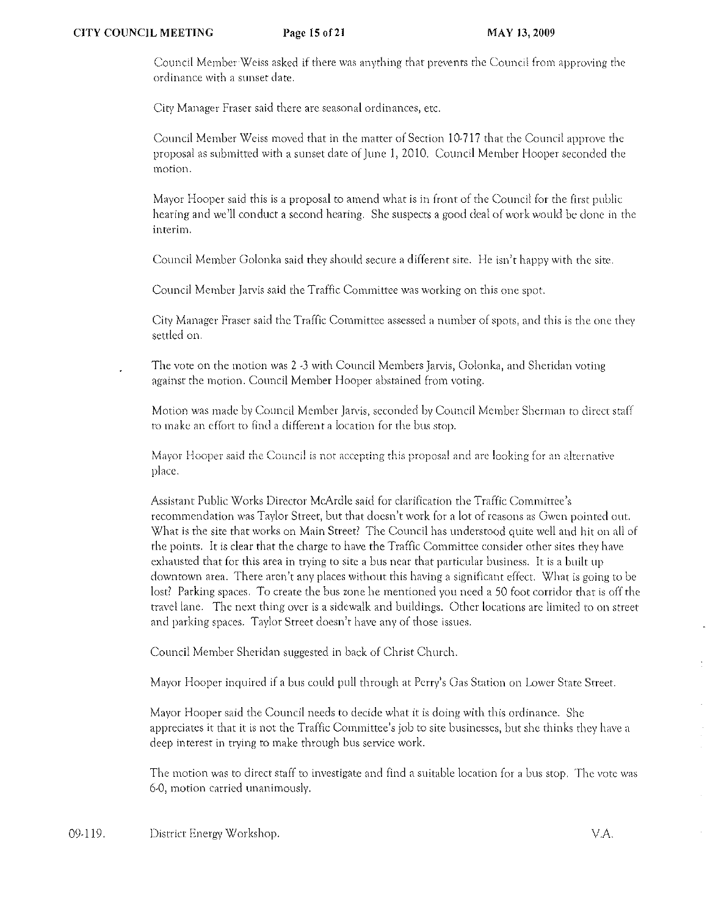Council Member Weiss asked if there was anything that prevents the Council from approving the ordinance with a sunset date.

City Manager Fraser said there are seasonal ordinances) etc.

Council Member Weiss moved that in the matter of Section 10·717 that the Council approve the proposal as submitted with a sunset date of June 1, 2010. Council Member Hooper seconded the motion.

Mayor Hooper said this is a proposal to amend what is in front of the Council for the first public hearing and we'll conduct a second hearing. She suspects a good deal of work would be done in the interim.

Council Member Golonka said they should secure a different site. He isn't happy with the site.

Council Member Jarvis said the Traffic Committee was working on this one spot.

City Manager Fraser said the Traffic Committee assessed a number of spots, and this is the one they settled on.

The vote on the motion was 2 -3 with Council Members Jarvis, Golonka, and Sheridan voting against the motion. Council Member Hooper abstained from voting.

Motion was made by Council Member Jarvis, seconded by Council Member Sherman to direct staff to make an effort to find a different a location for the bus stop.

Mayor Hooper said the Council is not accepting this proposal and are looking for an alternative place.

Assistant Public Works Director McArdle said for clarification the Traffic Comminee's recommendation was Taylor Street, but that doesn't work for a lot of reasons as Gwen pointed out. What is the site that works on Main Street' The Council has understood quite well and hit on all of the points. It is clear that the charge to have the Traffic Cornmittee consider other sites they have exhausted that for this area in trying to site a bus near that particular business. It is a built up downtown area. There arcn)t any places without this having a significant effect. What is going to be lost? Parking spaces. To create the bus zone he mentioned you need a 50 foot corridor that is off the travcllane. The next thing over is a sidewalk and buildings. Other locations arc limited to on street and parking spaces. Taylor Street doesn't have any of those issues.

Council Member Sheridan suggested in back of Christ Church.

Mayor Hooper inquired if a bus could pull through at Perry's Gas Station on Lower State Street.

Mayor Hooper said the Council needs to decide what it is doing with this ordinance. She appreciates it that it is not the Traffic Committee's job to site businesses, but she thinks they have a deep interest in trying to make through bus service work.

The motion was to direct staff to investigate and find a suitable location for a bus stop. The vote was 6-0, motion carried unanimously.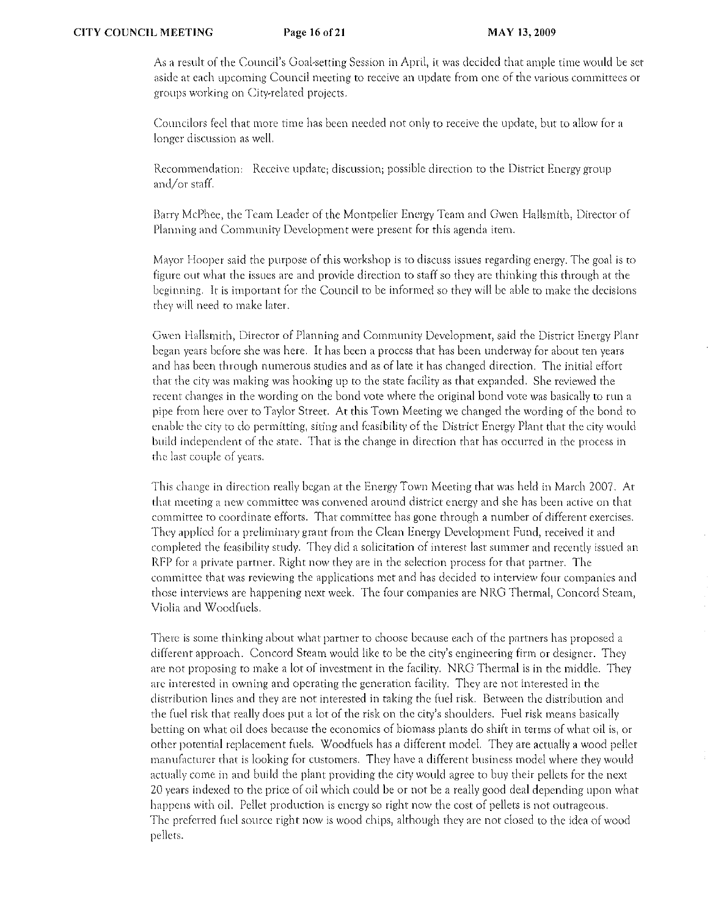As a result of the Council's Goal-setting Session in April, it was decided that ample time would be set aside at each upcoming Council meeting to receive an update from one of the various committees or groups working on City~relatcd projects.

Councilors feel that more time has been needed not only to receive the update, but to allow for a longer discussion as well.

Recommendation: Receive update; discussion; possible direction to the District Energy group and/or staff.

Barry McPhee, the Team Leader of the Montpelier Energy Team and Gwen Hallsmith, Director of Planning and Community Development were present for this agenda item.

Mayor Hooper said the purpose of this workshop is to discuss issues regarding energy. The goal is to figure out what the issues are and provide direction to staff so they are thinking this through at the beginning. It is important for the Council to be informed so they will be able to make the decisions they will need to make later.

Gwen Hallsmith, Director of Planning and Community Development, said the District Energy Plant began years before she was here. It has been a process that has been underway for about ten years and has been through numerous studies and as of late it has changed direction. The initial effort that- the city was making was hooking up to the state facility as that expanded. She reviewed the recent changes in the wording on the bond vote where the original bond vote was basically to run a pipe from here over to Taylor Street. At this Town Meeting we changed the wording of the bond to enable the city to do permitting, siting and feasibility of the District Energy Plant that the city would build independent of the state. That is the change in direction that has occurred in the process in the last couple of years.

This change in direction really began at the Energy Town Meeting that was held in March 2007. At that meeting a new committee was convened around district energy and she has been active on that cornmittee ro coordinate efforts. That conunittee has gone through a number of different exercises, They applied for a preliminary grant from the Clean Energy Development Fund, received it and completed the feasibility study. They did a solicitation of interest last summer and recently issued an RFP for a private partner. Right now they are in the selection process for that partner. The committee that was reviewing the applications met and has decided to interview four companies and those interviews are happening next week. The four companies are NRG Thermal, Concord Steam, Violia and Woodfuels.

There is some thinking about what partner to choose because each of the partners has proposed a different approach. Concord Steam would like to be the city)s engineering firm or designer. They are not proposing to make a lot of investment in the facility. NRG Thermal is in the middle. They arc interested in owning and operating the generation facility. They are not interested in the distribution lines and they arc not interested in taking the fuel risk. Between the distribution and the (uel risk that really docs put a lot of the risk on the city's shoulders. Fuel risk means basically betting on what oil does because the economics of biomass plants do shift in terms of what oil is, or other potential replacement fuels. Woodfuels has a different model. They are actually a wood pellet manufacturer that is looking for customers. They have a different business model where they would actually come in and build the plant providing the city would agree to buy their pellets for the next 20 years indexed to the price of oil which could be or not be a really good deal depending upon what happens with oil. Pellet production is energy so right now the cost of pellets is not outrageous. The preferred {uel source right now is wood chips, although they are not closed to the idea of wood pellets.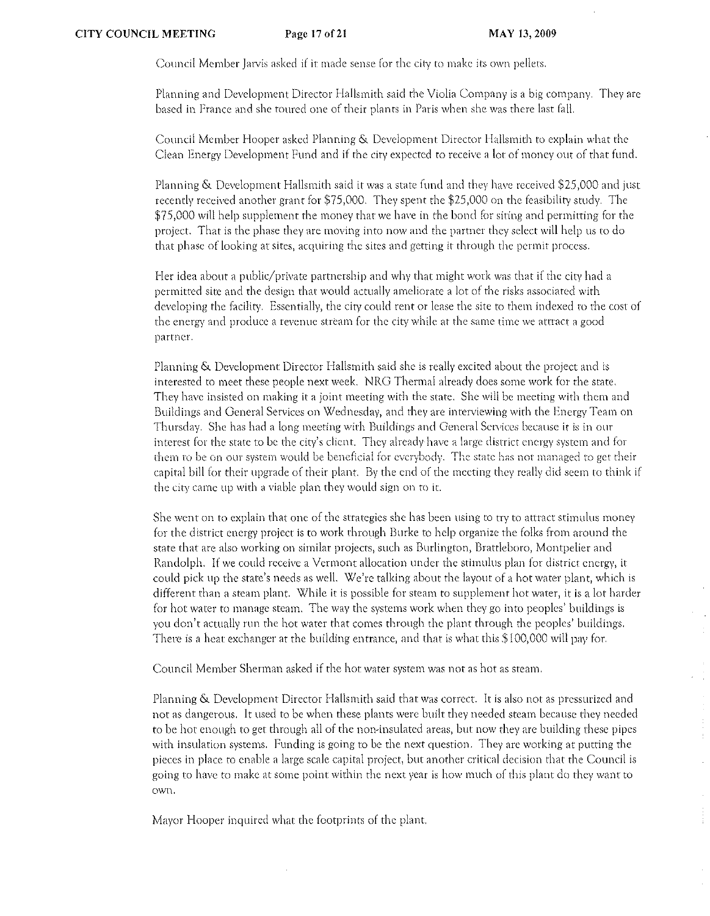$\cdot$ 

Council Member Jarvis asked if it made sense for the city to make its own pellets.

Planning and Development Director Hallsmith said the Violia Company is a big company. They are based in France and she toured one of their plants in Paris when she was there last falL

Council Member Hooper asked Planning & Development Director Hallsmith to explain what the Clean Energy Development Fund and if the city expected to receive a lot of money OUt of that fund.

Planning & Development Hallsmith said it was a state fund and they have received \$25,000 and just recently received another grant for \$75,000. They spent the \$25,000 on the feasibility study. The \$75,000 will help supplement the money that we have in the bond for siting and permitting for the project. That is the phase they are moving into now and the partner they select will help us to do that phase of looking at sites, acquiring the sites and getting it through the pennit process.

Her idea about a public/private partnership and why that might work was that if the city had a permitted site and the design that would actually ameliorate a lot of the risks associated with developing the facility. Essentiallv, the city could rent or lease the site to them indexed to the cost of the energy and produce a revenue stream for the city while at the same time we attract a good partner.

Planning & Development Director Hallsmith said she is really excited about the project and is interested to meet these people next week. NRG Thermal already does some work for the state. They have insisted on making it a joint meeting with the state. She will be meeting with them and Buildings and General Services on Wednesday, and they are interviewing with the Energy Team on Thursday. She has had a long meeting with Buildings and General Services because it is in our interest for the state to be the city's client. They already-have a large district energy system and for them to be on our system would be beneficial for everybody. The state has not managed to get their capital bill for their upgrade of their plant. By the end of the meeting they really did seem to think if the city came up with a viable plan they would sign on to it.

She went on to explain that one of the strategies she has been using to try to attract stimulus money for the district energy project is to work through Burke to help organize the folks from around the state that are also working on similar projects, such as Burlington, Brattleboro, Montpelier and Randolph. If we could receivc a Vermont allocation under the stimulus plan for district energy) it could pick up the state's needs as well. We're talking about the layout of a hot water plant, which is different than a steam plant. While it is possible for steam to supplement hot water, it is a lot harder for hot water to manage steam. The way the systems work when they go into peoples' buildings is you don't actually run the hot water that comes through the plant through the peoples) buildings, There is a heat exchanger at the building entrance, and that is what this \$100,000 will pay for.

Council Member Sherman asked if the hot water systern was not as hot as steam,

Planning & Development Director Hallsrnith said that was conect. It is also not as pressurized and not as dangerous, It llsed to be when these plants were built they needed steam because they needed to be hot enough to get through alJ of the non-insulated areas, but now they are building these pipes with insulation systems. Funding is going to be the next question. They are working at putting the pieces in place to enable a large scale capital project, but another critical decision that the Council is going to have to make at some point within the next year is how much of this plant do they want to own,

Mayor Hooper inquired what the footprints of the plant.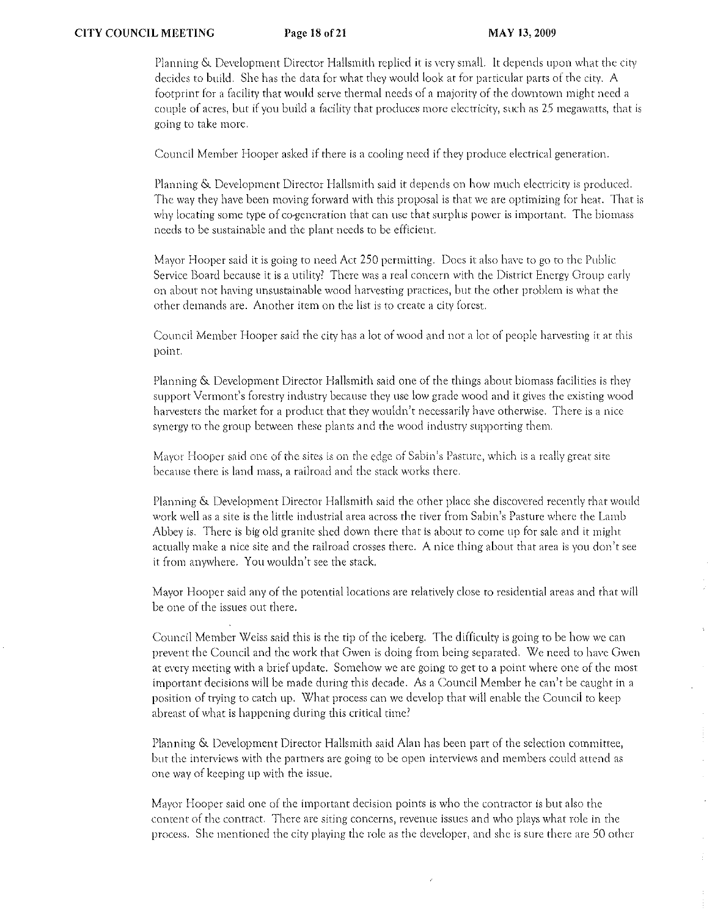Planning & Development Director Hallsmith replied it is very small. It depends upon what the city decides to build. She has the data for what they would look at for particular parts of the city. A footprint (or a facility that would serve thermal needs of a majority of the downtown might need a couple of acres, but if you build a facility that produces more electricity, such as 25 megawatts, that is going to take more.

Council Member Hooper asked if there is a cooling need if they produce electrical generation.

Planning & Development Director Hallsmith said it depends on how much electricity is produced. The way they have been moving forward with this proposal is that we are optimizing for heat. That is why locating some type of co-generation that can use that surplus power is important. The biomass needs to be sustainable and the plant needs to be efficient.

Mayor Hooper said it is going to need Act 250 permitting. Does it also have to go to the Public Service Board because it is a utility? There was a real concern with the District Energy Group early on about not having unsustainable wood harvesting practices, but the other problem is what the other demands are. Another item on the list is to create a city forest.

Council Mernber Hooper said the city has a lot of wood and not a lot of people harvesting if at this point.

Planning & Development Director Hallsmith said one of the things about biomass facilities is they support Vermont's forestry industry because they use low grade wood and it gives the existing wood harvesters the market for a product that they wouldn't necessarily have otherwise. There is a nice synergy to the group between these plants and the wood industry supporting them.

Mayor Hooper said one of the sites is on the edge of Sabin's Pasture, which is a really great site because rhere is land mass, a railroad and the srack works there.

Planning & Development Director Hallsmith said the other place she discovered recently that would work well as a site is the little industrial area across the river from Sabin's Pasture where the Lamb Abbey is. There is big old granite shed down there that is about to come up for sale and it might actually make a nice site and the railroad crosses there. A nice thing about that area is you don't see it from anywhere. You wouldn't see the stack.

Mayor Hooper said any of the potential locations are relatively close to residential areas and that will be one of the issues out there.

Council Member Weiss said this is the tip of the iceberg. The difficulty is going to be how we can prevent the Council and the work that Gwen is doing from being separated, We need to have Gwen at every meeting with a brief update. Somehow we arc going to get to a point where one of the most irnportant decisions will be made during this decade, As a Council Mernber he can)t be caught in a position of rrying to catch up. What process can we develop that will enable the Council to keep abreast of what is happening during this critical time?

Planning & Development Director Hallsmith said Alan has been part of the selection committee, but the interviews with the partners are going to be open interviews and members could attend as one way of keeping up with the issue.

Mayor Hooper said one of the important decision points is who the contractor is but also the content of the conrract. There arc siting concerns, revenue issues and who plays what role in the process. She mentioned the city playing the role as the developer, and she is sure there are 50 other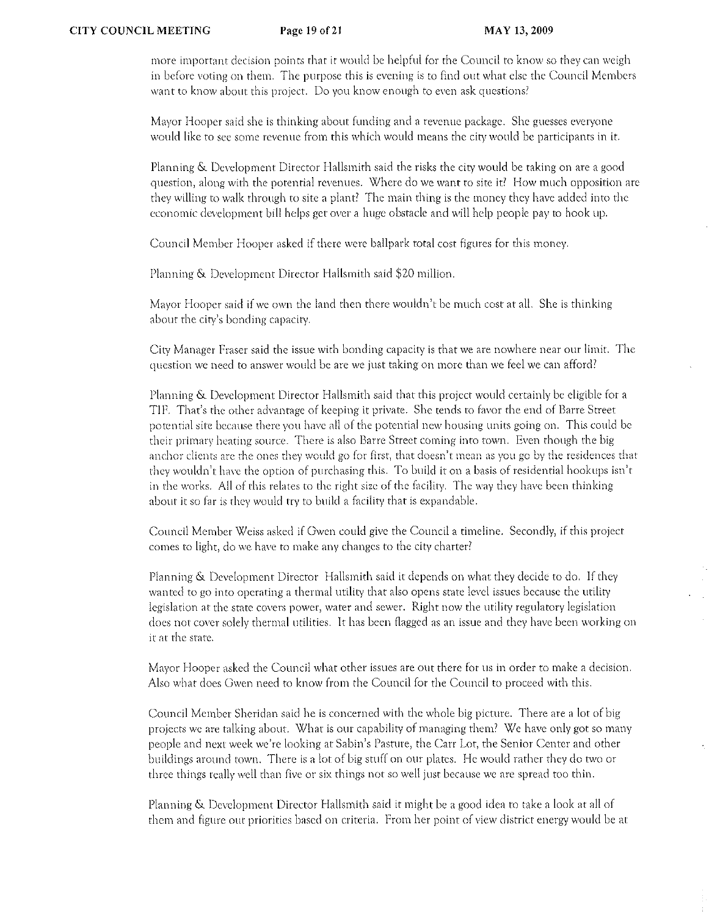more important decision points that it would be helpful for the Council to know so they can weigh in before voting on them. The purpose this is evening is to find out what else the Council Members want to know about this project. Do you know enough to even ask questions?

Mayor Hooper said she is thinking about funding and a revenue package. She guesses everyone would like to see some revenue from this which would means the city would be participants in it.

Planning & Development Director Hallsmith said the risks the city would be taking on are a good question, along with the potential revenues. Where do we want to site it? How much opposition are they v'lilling to walk through to site a plant? The rnain thing is the money they have added into the economic development bill helps get over a huge obstacle and will help people pay to hook up.

Council Member Hooper asked if there were ballpark total cost figures for this money.

Planning & Development Director Hallsmith said \$20 million.

Mayor Hooper said if we own the land then there wouldn't be much cost at all. She is thinking about the city's bonding capacity.

City Manager Fraser said the issue with bonding capacity is that we are nowhere ncar our lim.it. The question we need to answer would be arc we just taking on more than we feel we can afford?

Planning & Development Director Hallsmith said that this project would certainly be eligible for a TIF. That's the other advantage of keeping it private. She tends to favor the end of Barre Street potential site because there you have all of the potential new housing units going on. This could be their primary heating source. There is also Barre Street coming into town. Even though the big anchor clients are the ones they would go for first, that doesn't mean as you go by the residences that they wouldn't have the option of purchasing this. To build it on a basis of residential hookups isn't in the works. All of this relates to the right size of the faCility. The way they have been thinking about it so far is they would try to build a facility that is expandable.

Council Member Weiss asked if Gwen could give the Council a timeline. Secondly, if this project comes to light, do we have to make any changes to the city charter?

Planning & Development Director Hallsmith said it depends on what they decide to do. If they wanted to go into operating a thermal utility that also opens state level issues because the utility legislation at the state covers power, water and sewer. Right now the utility regulatory legislation does not cover solely thermal utilities. It has been flagged as an issue and they have been working on it at the state.

Mayor Hooper asked the Council what other issues are Ollt there for us in order to make a decision. Also what does Gwen need to know from the Council for the Council to proceed with this.

Council Member Sheridan said he is concerned with the whole big picture. There arc a lot of big projects we are talking about. What is our capability of managing them? We have only got so many people and next week we're looking at Sabin's Pasture, the Carr Lot, the Senior Center and other buildings around town. There is a lot of big stuff on our plates. He would rather they do two or three things really well than five or six things not so well just because we arc spread too thin.

Planning & Development Director Hallsmith said it might be a good idea to take a look at all of them and figure out priorities based on criteria. From her point of view district energy would be at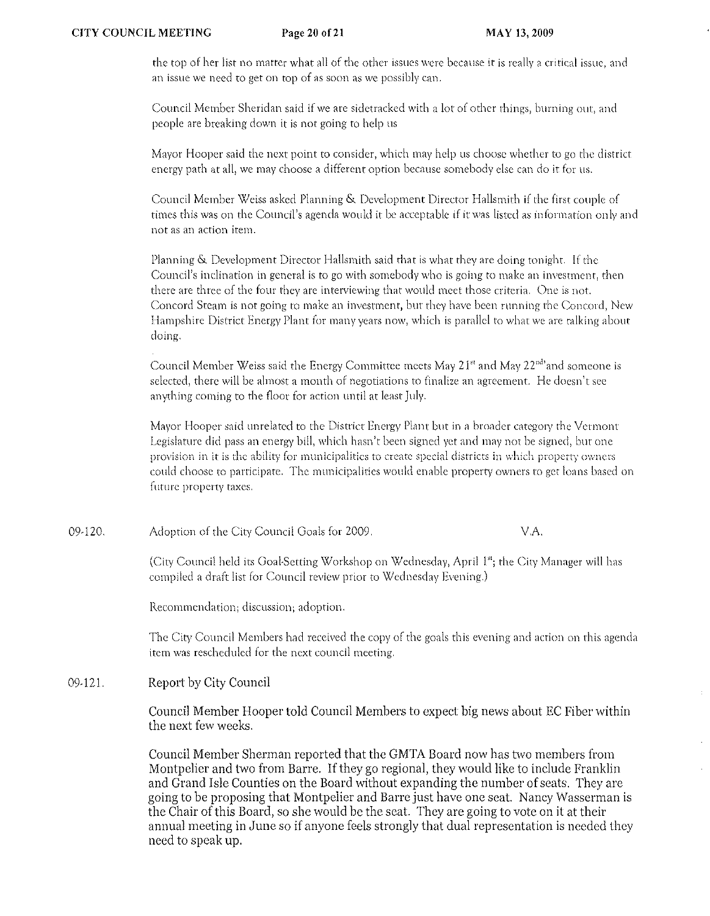the top of her list no matter what all of the other issues were because it is really a critical issue, and an issue we need to get on top of as soon as we possibly can.

Council Member Sheridan said if we arc sidetracked with a lot of other things, burning out, and people are breaking down it is not going to help us

Mayor Hooper said the next point to consider, which may help us choose whether to go the district encrgy path at all, we may choose a different option because somebody else can do it for us.

Council Member Weiss asked Planning & Development Director Hallsmith if the first couple of tilnes this was on the Council's agenda would it be acceptable if it was listed *as* information only and not as an action itern.

Planning & Development Director Hallsmith said that is what they are doing tonight. If the Council's inclination in general is to go with somebody who is going to make an investment, then there are three of the four they are interviewing that would meet those criteria. One is not. Concord Steam is not going to make an investment, bur they have been running the Concord, New Hampshire District Energy Plant for many years now, which is parallel to what we are talking about doing.

Council Member Weiss said the Energy Committee meets May 21<sup>st</sup> and May 22<sup>nd</sup> and someone is selected, there will be almost a month of negotiations to finalize an agreement. He doesn't see anything coming to the floor for action until at least July.

Mayor Hooper said unrelated to the District Energy Plant but in a broader category rhe Vermont Legislature did pass an energy bill, which hasn't been signed yet and may not be signed, but one provision in it is the ability for municipalities to create special districts in which property owners could choose to participate. The municipalities would enable property owners to get loans based on future property taxes.

09-120. Adoption of the City Council Goals for 2009. V.A.

> (City Council held its Goal-Setting Workshop on Wednesday, April I"; the City Manager will has compiled a draft list for Council review prior to Wednesday Evening.)

Recommendation; discussion; adoption.

The City Council Members had received the copy of the goals this evening and action on this agenda item was rescheduled for the next council meeting.

09-121. Report by City Council

> Council Member Hooper told Council Members to expect big news about EC Fiber within the next few weeks.

> Council Member Sherman reported that the GMTA Board now has two members from Montpelier and two from Barre. If they go regional, they would like to include Franklin and Grand Isle Counties on the Board without expanding the number of seats. They are going to be proposing that Montpelier and Barre just have one seat. Nancy Wasserman is the Chair of this Board, so she would be the seat. They are going to vote on it at their annual meeting in June so if anyone feels strongly that dual representation is needed they need to speak up.